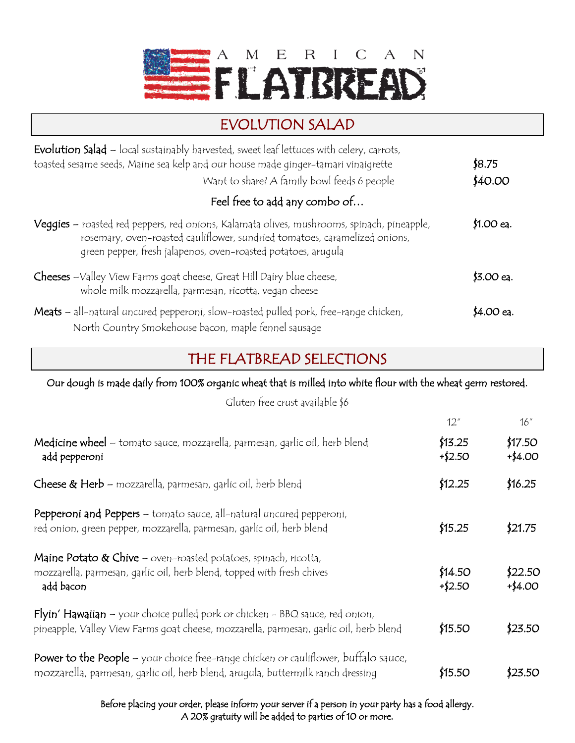

## EVOLUTION SALAD

| <b>Evolution Salad</b> - local sustainably harvested, sweet leaf lettuces with celery, carrots,<br>toasted sesame seeds, Maine sea kelp and our house made ginger-tamari vinaigrette<br>Want to share? A family bowl feeds 6 people       | \$8.75<br>\$40.00 |
|-------------------------------------------------------------------------------------------------------------------------------------------------------------------------------------------------------------------------------------------|-------------------|
| Feel free to add any combo of                                                                                                                                                                                                             |                   |
| Veggies - roasted red peppers, red onions, Kalamata olives, mushrooms, spinach, pineapple,<br>rosemary, oven-roasted cauliflower, sundried tomatoes, caramelized onions,<br>green pepper, fresh jalapenos, oven-roasted potatoes, arugula | \$1.00 eq.        |
| Cheeses -Valley View Farms goat cheese, Great Hill Dairy blue cheese,<br>whole milk mozzarella, parmesan, ricotta, vegan cheese                                                                                                           | \$3.00 eq.        |
| Meats - all-natural uncured pepperoni, slow-roasted pulled pork, free-range chicken,<br>North Country Smokehouse bacon, maple fennel sausage                                                                                              | \$4.00 eq.        |

## THE FLATBREAD SELECTIONS

Our dough is made daily from 100% organic wheat that is milled into white flour with the wheat germ restored.

Gluten free crust available \$6

|                                                                                                                                                                         | 12''                 | 16''                  |
|-------------------------------------------------------------------------------------------------------------------------------------------------------------------------|----------------------|-----------------------|
| Medicine wheel - tomato sauce, mozzarella, parmesan, garlic oil, herb blend<br>add pepperoni                                                                            | \$13.25<br>$+ $2.50$ | \$17.50<br>$+ $4.00$  |
| Cheese & Herb - mozzarella, parmesan, garlic oil, herb blend                                                                                                            | \$12.25              | \$16.25               |
| Pepperoni and Peppers - tomato sauce, all-natural uncured pepperoni,<br>red onion, green pepper, mozzarella, parmesan, garlic oil, herb blend                           | \$15.25              | \$21.75               |
| Maine Potato & Chive - oven-roasted potatoes, spinach, ricotta,<br>mozzarella, parmesan, garlic oil, herb blend, topped with fresh chives<br>add bacon                  | \$14.50<br>$+ $2.50$ | \$22.50<br>$+$ \$4.00 |
| Flyin' Hawaiian - your choice pulled pork or chicken - BBQ sauce, red onion,<br>pineapple, Valley View Farms goat cheese, mozzarella, parmesan, garlic oil, herb blend  | \$15.50              | \$23.50               |
| Power to the People - your choice free-range chicken or cauliflower, buffalo sauce,<br>mozzarella, parmesan, garlic oil, herb blend, arugula, buttermilk ranch dressing | \$15.50              | \$23.50               |

Before placing your order, please inform your server if a person in your party has a food allergy. A 20% gratuity will be added to parties of 10 or more.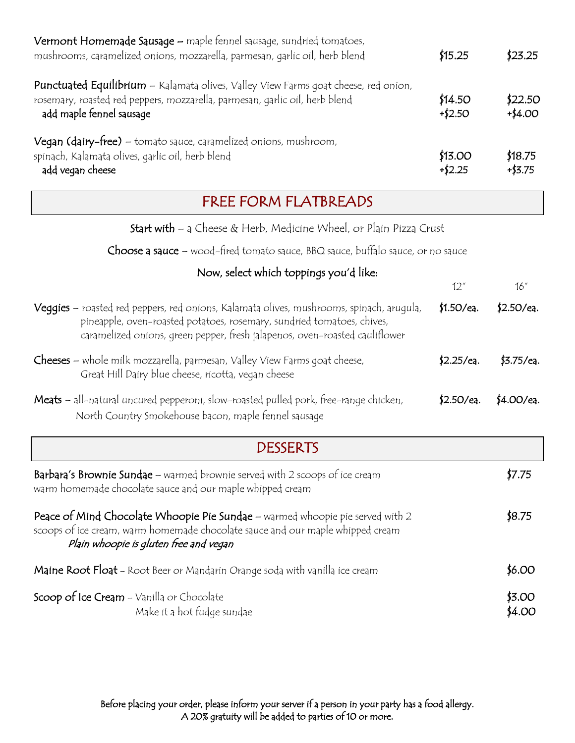| Vermont Homemade Sausage - maple fennel sausage, sundried tomatoes,<br>mushrooms, caramelized onions, mozzarella, parmesan, garlic oil, herb blend                                             |                      | \$23.25               |
|------------------------------------------------------------------------------------------------------------------------------------------------------------------------------------------------|----------------------|-----------------------|
| Punctuated Equilibrium - Kalamata olives, Valley View Farms goat cheese, red onion,<br>rosemary, roasted red peppers, mozzarella, parmesan, garlic oil, herb blend<br>add maple fennel sausage | \$14.50<br>$+ $2.50$ | \$22.50<br>$+$ \$4.00 |
| Vegan (dairy-free) - tomato sauce, caramelized onions, mushroom,<br>spinach, Kalamata olives, garlic oil, herb blend<br>add vegan cheese                                                       | \$13.00<br>$+ $2.25$ | \$18.75<br>$+$ \$3.75 |

## FREE FORM FLATBREADS

Start with – a Cheese & Herb, Medicine Wheel, or Plain Pizza Crust

Choose a sauce – wood-fired tomato sauce, BBQ sauce, buffalo sauce, or no sauce

| Now, select which toppings you'd like:                                                                                                                                                                                                            |              |                  |  |
|---------------------------------------------------------------------------------------------------------------------------------------------------------------------------------------------------------------------------------------------------|--------------|------------------|--|
|                                                                                                                                                                                                                                                   | 12''         | 16''             |  |
| Veggies – roasted red peppers, red onions, Kalamata olives, mushrooms, spinach, arugula,<br>pineapple, oven-roasted potatoes, rosemary, sundried tomatoes, chives,<br>caramelized onions, green pepper, fresh jalapenos, oven-roasted cauliflower | \$1.5O/ea.   | \$2.5O/ea.       |  |
| <b>Cheeses</b> – whole milk mozzarella, parmesan, Valley View Farms goat cheese,<br>Great Hill Dairy blue cheese, ricotta, vegan cheese                                                                                                           | $$2.25$ /eq. | $$3.75$ /ea.     |  |
| Meats - all-natural uncured pepperoni, slow-roasted pulled pork, free-range chicken,<br>North Country Smokehouse bacon, maple fennel sausage                                                                                                      | \$2.50/ea.   | \$4.00/ea.       |  |
| <b>DESSERTS</b>                                                                                                                                                                                                                                   |              |                  |  |
| Barbara's Brownie Sundae - warmed brownie served with 2 scoops of ice cream<br>warm homemade chocolate sauce and our maple whipped cream                                                                                                          |              | \$7.75           |  |
| Peace of Mind Chocolate Whoopie Pie Sundae - warmed whoopie pie served with 2<br>scoops of ice cream, warm homemade chocolate sauce and our maple whipped cream<br>Plain whoopie is gluten free and vegan                                         |              |                  |  |
| Maine Root Float - Root Beer or Mandarin Orange soda with vanilla ice cream                                                                                                                                                                       |              | \$6.00           |  |
| Scoop of Ice Cream - Vanilla or Chocolate<br>Make it a hot fudge sundae                                                                                                                                                                           |              | \$3.00<br>\$4.OO |  |

Before placing your order, please inform your server if a person in your party has a food allergy. A 20% gratuity will be added to parties of 10 or more.